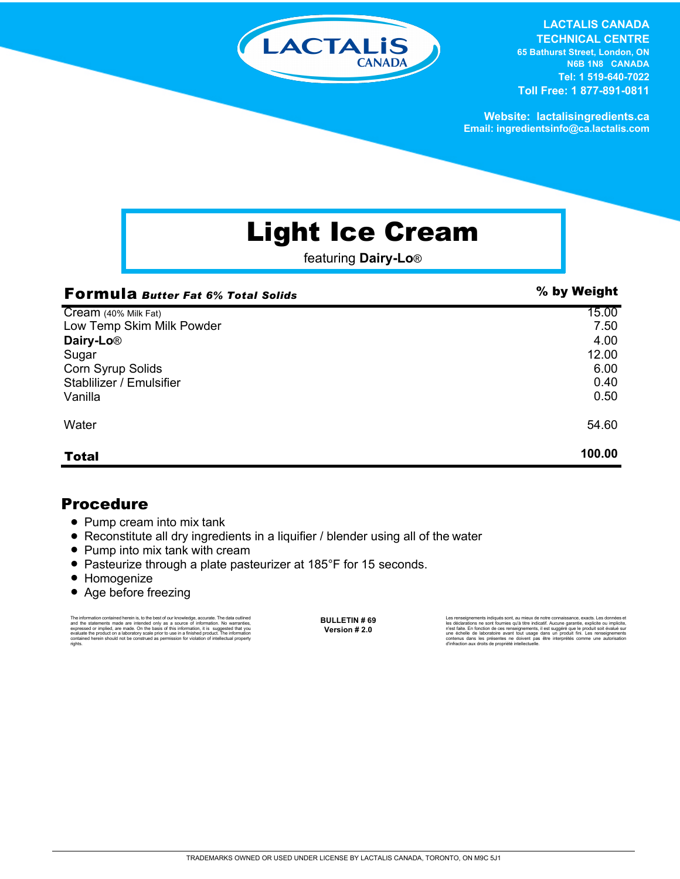

**LACTALIS CANADA TECHNICAL CENTRE 65 Bathurst Street, London, ON N6B 1N8 CANADA**

**Tel: 1 519-640-7022 Toll Free: 1 877-891-0811**

**Website: lactalisingredients.ca Email: ingredientsinfo@ca.lactalis.com**

# Light Ice Cream

featuring **Dairy-Lo**®

| <b>Formula Butter Fat 6% Total Solids</b> | % by Weight |
|-------------------------------------------|-------------|
| Cream (40% Milk Fat)                      | 15.00       |
| Low Temp Skim Milk Powder                 | 7.50        |
| Dairy-Lo <sup>®</sup>                     | 4.00        |
| Sugar                                     | 12.00       |
| Corn Syrup Solids                         | 6.00        |
| Stablilizer / Emulsifier                  | 0.40        |
| Vanilla                                   | 0.50        |
| Water                                     | 54.60       |
| <b>Total</b>                              | 100.00      |

#### Procedure

- Pump cream into mix tank
- Reconstitute all dry ingredients in a liquifier / blender using all of the water
- Pump into mix tank with cream
- Pasteurize through a plate pasteurizer at 185°F for 15 seconds.
- Homogenize
- Age before freezing

The information contained herein is, to the best of our knowledge, accurate. The data cutlined the statements made are intended only as a source of information. No warranties, expressed or implied, are made. On the basis o

**BULLETIN # 69 Version # 2.0**

Les renseignements indiqués sont, au mieux de notre connaissance, exacts. Les données et<br>les déclarations ne sont fournies qu'à titre indicatif. Aucune garantie, explicite ou implicite,<br>riest faite. En fonction de ces rens